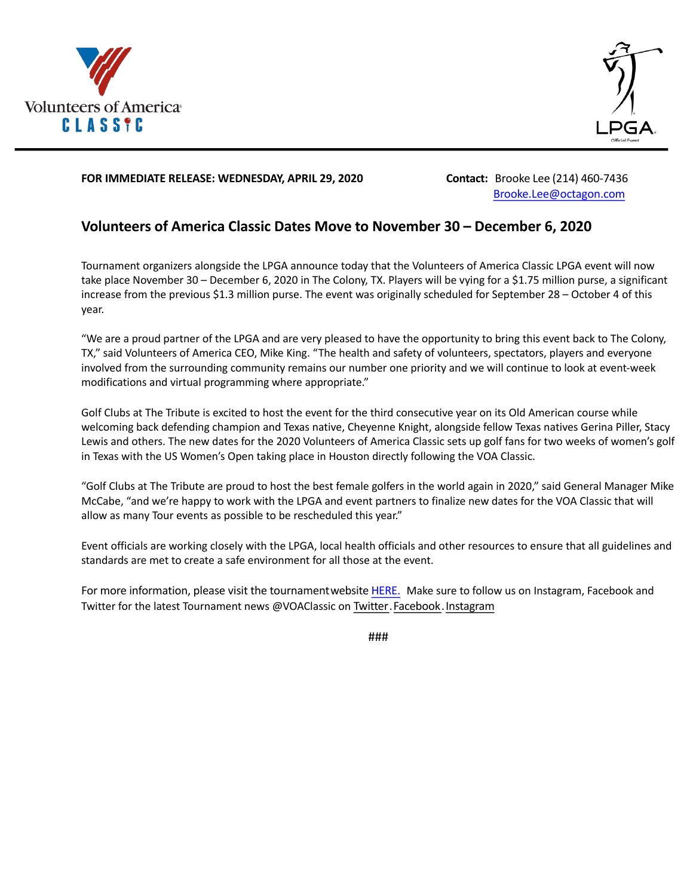



### **FOR IMMEDIATE RELEASE: WEDNESDAY, APRIL 29, 2020 Contact:** Brooke Lee (214) 460-7436

Brooke.Lee@octagon.com

# **Volunteers of America Classic Dates Move to November 30 – December 6, 2020**

Tournament organizers alongside the LPGA announce today that the Volunteers of America Classic LPGA event will now take place November 30 – December 6, 2020 in The Colony, TX. Players will be vying for a \$1.75 million purse, a significant increase from the previous \$1.3 million purse. The event was originally scheduled for September 28 – October 4 of this year.

"We are a proud partner of the LPGA and are very pleased to have the opportunity to bring this event back to The Colony, TX," said Volunteers of America CEO, Mike King. "The health and safety of volunteers, spectators, players and everyone involved from the surrounding community remains our number one priority and we will continue to look at event-week modifications and virtual programming where appropriate."

Golf Clubs at The Tribute is excited to host the event for the third consecutive year on its Old American course while welcoming back defending champion and Texas native, Cheyenne Knight, alongside fellow Texas natives Gerina Piller, Stacy Lewis and others. The new dates for the 2020 Volunteers of America Classic sets up golf fans for two weeks of women's golf in Texas with the US Women's Open taking place in Houston directly following the VOA Classic.

"Golf Clubs at The Tribute are proud to host the best female golfers in the world again in 2020," said General Manager Mike McCabe, "and we're happy to work with the LPGA and event partners to finalize new dates for the VOA Classic that will allow as many Tour events as possible to be rescheduled this year."

Event officials are working closely with the LPGA, local health officials and other resources to ensure that all guidelines and standards are met to create a safe environment for all those at the event.

For more information, please visit the tournament website HERE. Make sure to follow us on Instagram, Facebook and Twitter for the latest Tournament news @VOAClassic on Twitter.Facebook.Instagram

###